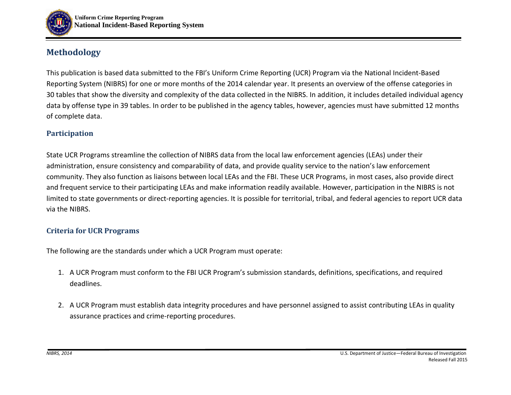

# **Methodology**

This publication is based data submitted to the FBI's Uniform Crime Reporting (UCR) Program via the National Incident-Based Reporting System (NIBRS) for one or more months of the 2014 calendar year. It presents an overview of the offense categories in 30 tables that show the diversity and complexity of the data collected in the NIBRS. In addition, it includes detailed individual agency data by offense type in 39 tables. In order to be published in the agency tables, however, agencies must have submitted 12 months of complete data.

# **Participation**

State UCR Programs streamline the collection of NIBRS data from the local law enforcement agencies (LEAs) under their administration, ensure consistency and comparability of data, and provide quality service to the nation's law enforcement community. They also function as liaisons between local LEAs and the FBI. These UCR Programs, in most cases, also provide direct and frequent service to their participating LEAs and make information readily available. However, participation in the NIBRS is not limited to state governments or direct-reporting agencies. It is possible for territorial, tribal, and federal agencies to report UCR data via the NIBRS.

# **Criteria for UCR Programs**

The following are the standards under which a UCR Program must operate:

- 1. A UCR Program must conform to the FBI UCR Program's submission standards, definitions, specifications, and required deadlines.
- 2. A UCR Program must establish data integrity procedures and have personnel assigned to assist contributing LEAs in quality assurance practices and crime-reporting procedures.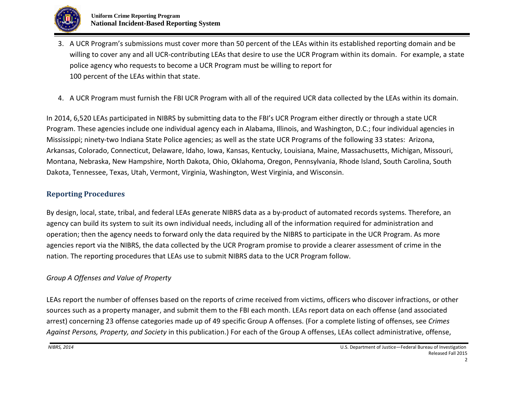

- 3. A UCR Program's submissions must cover more than 50 percent of the LEAs within its established reporting domain and be willing to cover any and all UCR-contributing LEAs that desire to use the UCR Program within its domain. For example, a state police agency who requests to become a UCR Program must be willing to report for 100 percent of the LEAs within that state.
- 4. A UCR Program must furnish the FBI UCR Program with all of the required UCR data collected by the LEAs within its domain.

In 2014, 6,520 LEAs participated in NIBRS by submitting data to the FBI's UCR Program either directly or through a state UCR Program. These agencies include one individual agency each in Alabama, Illinois, and Washington, D.C.; four individual agencies in Mississippi; ninety-two Indiana State Police agencies; as well as the state UCR Programs of the following 33 states: Arizona, Arkansas, Colorado, Connecticut, Delaware, Idaho, Iowa, Kansas, Kentucky, Louisiana, Maine, Massachusetts, Michigan, Missouri, Montana, Nebraska, New Hampshire, North Dakota, Ohio, Oklahoma, Oregon, Pennsylvania, Rhode Island, South Carolina, South Dakota, Tennessee, Texas, Utah, Vermont, Virginia, Washington, West Virginia, and Wisconsin.

## **Reporting Procedures**

By design, local, state, tribal, and federal LEAs generate NIBRS data as a by-product of automated records systems. Therefore, an agency can build its system to suit its own individual needs, including all of the information required for administration and operation; then the agency needs to forward only the data required by the NIBRS to participate in the UCR Program. As more agencies report via the NIBRS, the data collected by the UCR Program promise to provide a clearer assessment of crime in the nation. The reporting procedures that LEAs use to submit NIBRS data to the UCR Program follow.

# *Group A Offenses and Value of Property*

LEAs report the number of offenses based on the reports of crime received from victims, officers who discover infractions, or other sources such as a property manager, and submit them to the FBI each month. LEAs report data on each offense (and associated arrest) concerning 23 offense categories made up of 49 specific Group A offenses. (For a complete listing of offenses, see *Crimes Against Persons, Property, and Society* in this publication.) For each of the Group A offenses, LEAs collect administrative, offense,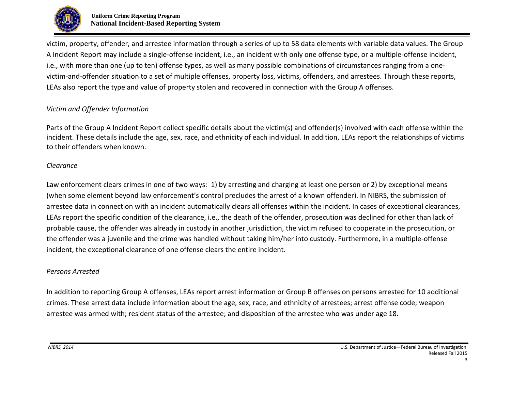

victim, property, offender, and arrestee information through a series of up to 58 data elements with variable data values. The Group A Incident Report may include a single-offense incident, i.e., an incident with only one offense type, or a multiple-offense incident, i.e., with more than one (up to ten) offense types, as well as many possible combinations of circumstances ranging from a onevictim-and-offender situation to a set of multiple offenses, property loss, victims, offenders, and arrestees. Through these reports, LEAs also report the type and value of property stolen and recovered in connection with the Group A offenses.

## *Victim and Offender Information*

Parts of the Group A Incident Report collect specific details about the victim(s) and offender(s) involved with each offense within the incident. These details include the age, sex, race, and ethnicity of each individual. In addition, LEAs report the relationships of victims to their offenders when known.

#### *Clearance*

Law enforcement clears crimes in one of two ways: 1) by arresting and charging at least one person or 2) by exceptional means (when some element beyond law enforcement's control precludes the arrest of a known offender). In NIBRS, the submission of arrestee data in connection with an incident automatically clears all offenses within the incident. In cases of exceptional clearances, LEAs report the specific condition of the clearance, i.e., the death of the offender, prosecution was declined for other than lack of probable cause, the offender was already in custody in another jurisdiction, the victim refused to cooperate in the prosecution, or the offender was a juvenile and the crime was handled without taking him/her into custody. Furthermore, in a multiple-offense incident, the exceptional clearance of one offense clears the entire incident.

#### *Persons Arrested*

In addition to reporting Group A offenses, LEAs report arrest information or Group B offenses on persons arrested for 10 additional crimes. These arrest data include information about the age, sex, race, and ethnicity of arrestees; arrest offense code; weapon arrestee was armed with; resident status of the arrestee; and disposition of the arrestee who was under age 18.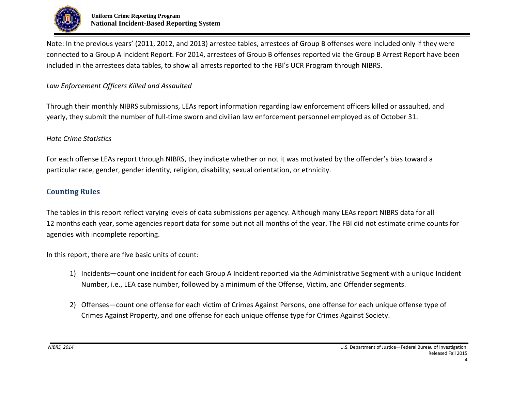

Note: In the previous years' (2011, 2012, and 2013) arrestee tables, arrestees of Group B offenses were included only if they were connected to a Group A Incident Report. For 2014, arrestees of Group B offenses reported via the Group B Arrest Report have been included in the arrestees data tables, to show all arrests reported to the FBI's UCR Program through NIBRS.

#### *Law Enforcement Officers Killed and Assaulted*

Through their monthly NIBRS submissions, LEAs report information regarding law enforcement officers killed or assaulted, and yearly, they submit the number of full-time sworn and civilian law enforcement personnel employed as of October 31.

#### *Hate Crime Statistics*

For each offense LEAs report through NIBRS, they indicate whether or not it was motivated by the offender's bias toward a particular race, gender, gender identity, religion, disability, sexual orientation, or ethnicity.

## **Counting Rules**

The tables in this report reflect varying levels of data submissions per agency. Although many LEAs report NIBRS data for all 12 months each year, some agencies report data for some but not all months of the year. The FBI did not estimate crime counts for agencies with incomplete reporting.

In this report, there are five basic units of count:

- 1) Incidents—count one incident for each Group A Incident reported via the Administrative Segment with a unique Incident Number, i.e., LEA case number, followed by a minimum of the Offense, Victim, and Offender segments.
- 2) Offenses—count one offense for each victim of Crimes Against Persons, one offense for each unique offense type of Crimes Against Property, and one offense for each unique offense type for Crimes Against Society.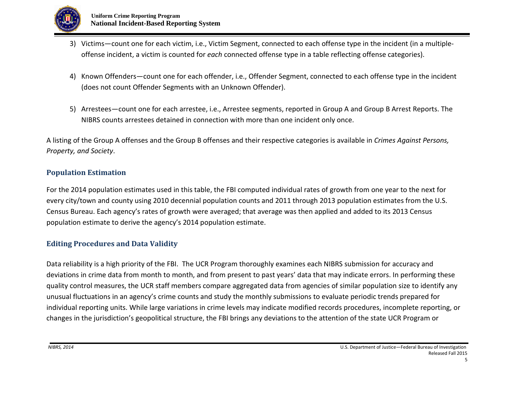

- 3) Victims—count one for each victim, i.e., Victim Segment, connected to each offense type in the incident (in a multipleoffense incident, a victim is counted for *each* connected offense type in a table reflecting offense categories).
- 4) Known Offenders—count one for each offender, i.e., Offender Segment, connected to each offense type in the incident (does not count Offender Segments with an Unknown Offender).
- 5) Arrestees—count one for each arrestee, i.e., Arrestee segments, reported in Group A and Group B Arrest Reports. The NIBRS counts arrestees detained in connection with more than one incident only once.

A listing of the Group A offenses and the Group B offenses and their respective categories is available in *Crimes Against Persons, Property, and Society*.

## **Population Estimation**

For the 2014 population estimates used in this table, the FBI computed individual rates of growth from one year to the next for every city/town and county using 2010 decennial population counts and 2011 through 2013 population estimates from the U.S. Census Bureau. Each agency's rates of growth were averaged; that average was then applied and added to its 2013 Census population estimate to derive the agency's 2014 population estimate.

# **Editing Procedures and Data Validity**

Data reliability is a high priority of the FBI. The UCR Program thoroughly examines each NIBRS submission for accuracy and deviations in crime data from month to month, and from present to past years' data that may indicate errors. In performing these quality control measures, the UCR staff members compare aggregated data from agencies of similar population size to identify any unusual fluctuations in an agency's crime counts and study the monthly submissions to evaluate periodic trends prepared for individual reporting units. While large variations in crime levels may indicate modified records procedures, incomplete reporting, or changes in the jurisdiction's geopolitical structure, the FBI brings any deviations to the attention of the state UCR Program or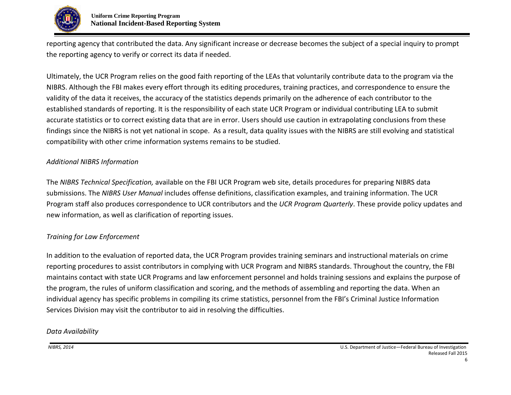

reporting agency that contributed the data. Any significant increase or decrease becomes the subject of a special inquiry to prompt the reporting agency to verify or correct its data if needed.

Ultimately, the UCR Program relies on the good faith reporting of the LEAs that voluntarily contribute data to the program via the NIBRS. Although the FBI makes every effort through its editing procedures, training practices, and correspondence to ensure the validity of the data it receives, the accuracy of the statistics depends primarily on the adherence of each contributor to the established standards of reporting. It is the responsibility of each state UCR Program or individual contributing LEA to submit accurate statistics or to correct existing data that are in error. Users should use caution in extrapolating conclusions from these findings since the NIBRS is not yet national in scope. As a result, data quality issues with the NIBRS are still evolving and statistical compatibility with other crime information systems remains to be studied.

#### *Additional NIBRS Information*

The *NIBRS Technical Specification,* available on the FBI UCR Program web site, details procedures for preparing NIBRS data submissions. The *NIBRS User Manual* includes offense definitions, classification examples, and training information. The UCR Program staff also produces correspondence to UCR contributors and the *UCR Program Quarterly*. These provide policy updates and new information, as well as clarification of reporting issues.

# *Training for Law Enforcement*

In addition to the evaluation of reported data, the UCR Program provides training seminars and instructional materials on crime reporting procedures to assist contributors in complying with UCR Program and NIBRS standards. Throughout the country, the FBI maintains contact with state UCR Programs and law enforcement personnel and holds training sessions and explains the purpose of the program, the rules of uniform classification and scoring, and the methods of assembling and reporting the data. When an individual agency has specific problems in compiling its crime statistics, personnel from the FBI's Criminal Justice Information Services Division may visit the contributor to aid in resolving the difficulties.

#### *Data Availability*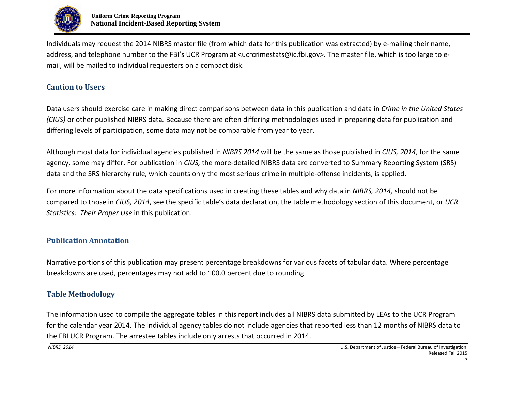

Individuals may request the 2014 NIBRS master file (from which data for this publication was extracted) by e-mailing their name, address, and telephone number to the FBI's UCR Program at <ucrcrimestats@ic.fbi.gov>. The master file, which is too large to email, will be mailed to individual requesters on a compact disk.

# **Caution to Users**

Data users should exercise care in making direct comparisons between data in this publication and data in *Crime in the United States (CIUS)* or other published NIBRS data*.* Because there are often differing methodologies used in preparing data for publication and differing levels of participation, some data may not be comparable from year to year.

Although most data for individual agencies published in *NIBRS 2014* will be the same as those published in *CIUS, 2014*, for the same agency, some may differ. For publication in *CIUS,* the more-detailed NIBRS data are converted to Summary Reporting System (SRS) data and the SRS hierarchy rule, which counts only the most serious crime in multiple-offense incidents, is applied.

For more information about the data specifications used in creating these tables and why data in *NIBRS, 2014,* should not be compared to those in *CIUS, 2014*, see the specific table's data declaration, the table methodology section of this document, or *UCR Statistics: Their Proper Use* in this publication.

# **Publication Annotation**

Narrative portions of this publication may present percentage breakdowns for various facets of tabular data. Where percentage breakdowns are used, percentages may not add to 100.0 percent due to rounding.

# **Table Methodology**

The information used to compile the aggregate tables in this report includes all NIBRS data submitted by LEAs to the UCR Program for the calendar year 2014. The individual agency tables do not include agencies that reported less than 12 months of NIBRS data to the FBI UCR Program. The arrestee tables include only arrests that occurred in 2014.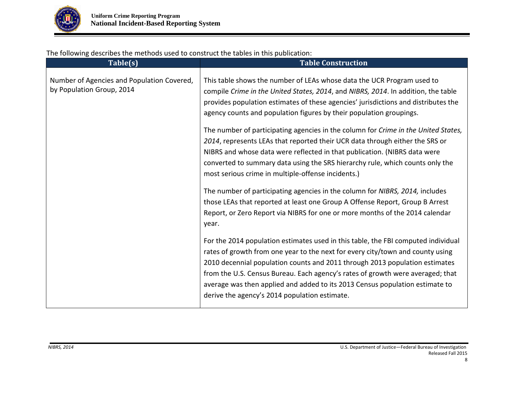

The following describes the methods used to construct the tables in this publication:

| Table(s)                                                                | <b>Table Construction</b>                                                                                                                                                                                                                                                                                                                                                                                                                                             |
|-------------------------------------------------------------------------|-----------------------------------------------------------------------------------------------------------------------------------------------------------------------------------------------------------------------------------------------------------------------------------------------------------------------------------------------------------------------------------------------------------------------------------------------------------------------|
| Number of Agencies and Population Covered,<br>by Population Group, 2014 | This table shows the number of LEAs whose data the UCR Program used to<br>compile Crime in the United States, 2014, and NIBRS, 2014. In addition, the table<br>provides population estimates of these agencies' jurisdictions and distributes the<br>agency counts and population figures by their population groupings.                                                                                                                                              |
|                                                                         | The number of participating agencies in the column for Crime in the United States,<br>2014, represents LEAs that reported their UCR data through either the SRS or<br>NIBRS and whose data were reflected in that publication. (NIBRS data were<br>converted to summary data using the SRS hierarchy rule, which counts only the<br>most serious crime in multiple-offense incidents.)                                                                                |
|                                                                         | The number of participating agencies in the column for NIBRS, 2014, includes<br>those LEAs that reported at least one Group A Offense Report, Group B Arrest<br>Report, or Zero Report via NIBRS for one or more months of the 2014 calendar<br>year.                                                                                                                                                                                                                 |
|                                                                         | For the 2014 population estimates used in this table, the FBI computed individual<br>rates of growth from one year to the next for every city/town and county using<br>2010 decennial population counts and 2011 through 2013 population estimates<br>from the U.S. Census Bureau. Each agency's rates of growth were averaged; that<br>average was then applied and added to its 2013 Census population estimate to<br>derive the agency's 2014 population estimate. |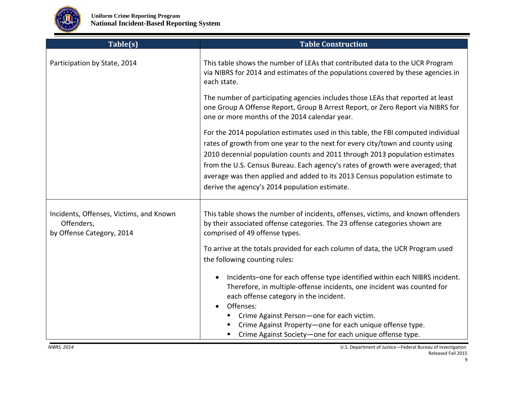

| Table(s)                                                                           | <b>Table Construction</b>                                                                                                                                                                                                                                                                                                                                                                                                                                             |
|------------------------------------------------------------------------------------|-----------------------------------------------------------------------------------------------------------------------------------------------------------------------------------------------------------------------------------------------------------------------------------------------------------------------------------------------------------------------------------------------------------------------------------------------------------------------|
| Participation by State, 2014                                                       | This table shows the number of LEAs that contributed data to the UCR Program<br>via NIBRS for 2014 and estimates of the populations covered by these agencies in<br>each state.                                                                                                                                                                                                                                                                                       |
|                                                                                    | The number of participating agencies includes those LEAs that reported at least<br>one Group A Offense Report, Group B Arrest Report, or Zero Report via NIBRS for<br>one or more months of the 2014 calendar year.                                                                                                                                                                                                                                                   |
|                                                                                    | For the 2014 population estimates used in this table, the FBI computed individual<br>rates of growth from one year to the next for every city/town and county using<br>2010 decennial population counts and 2011 through 2013 population estimates<br>from the U.S. Census Bureau. Each agency's rates of growth were averaged; that<br>average was then applied and added to its 2013 Census population estimate to<br>derive the agency's 2014 population estimate. |
| Incidents, Offenses, Victims, and Known<br>Offenders,<br>by Offense Category, 2014 | This table shows the number of incidents, offenses, victims, and known offenders<br>by their associated offense categories. The 23 offense categories shown are<br>comprised of 49 offense types.<br>To arrive at the totals provided for each column of data, the UCR Program used                                                                                                                                                                                   |
|                                                                                    | the following counting rules:<br>Incidents-one for each offense type identified within each NIBRS incident.<br>$\bullet$<br>Therefore, in multiple-offense incidents, one incident was counted for<br>each offense category in the incident.<br>Offenses:<br>$\bullet$<br>Crime Against Person-one for each victim.<br>Crime Against Property-one for each unique offense type.<br>Crime Against Society-one for each unique offense type.<br>п                       |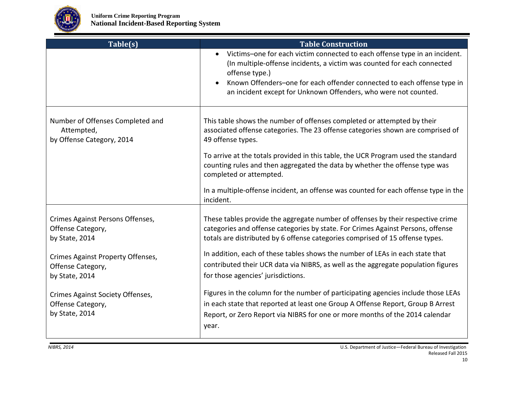

| Table(s)                                                                    | <b>Table Construction</b>                                                                                                                                                                                                                                                                                                          |
|-----------------------------------------------------------------------------|------------------------------------------------------------------------------------------------------------------------------------------------------------------------------------------------------------------------------------------------------------------------------------------------------------------------------------|
|                                                                             | Victims-one for each victim connected to each offense type in an incident.<br>$\bullet$<br>(In multiple-offense incidents, a victim was counted for each connected<br>offense type.)<br>Known Offenders-one for each offender connected to each offense type in<br>an incident except for Unknown Offenders, who were not counted. |
| Number of Offenses Completed and<br>Attempted,<br>by Offense Category, 2014 | This table shows the number of offenses completed or attempted by their<br>associated offense categories. The 23 offense categories shown are comprised of<br>49 offense types.                                                                                                                                                    |
|                                                                             | To arrive at the totals provided in this table, the UCR Program used the standard<br>counting rules and then aggregated the data by whether the offense type was<br>completed or attempted.                                                                                                                                        |
|                                                                             | In a multiple-offense incident, an offense was counted for each offense type in the<br>incident.                                                                                                                                                                                                                                   |
| Crimes Against Persons Offenses,<br>Offense Category,<br>by State, 2014     | These tables provide the aggregate number of offenses by their respective crime<br>categories and offense categories by state. For Crimes Against Persons, offense<br>totals are distributed by 6 offense categories comprised of 15 offense types.                                                                                |
| <b>Crimes Against Property Offenses,</b>                                    | In addition, each of these tables shows the number of LEAs in each state that                                                                                                                                                                                                                                                      |
| Offense Category,<br>by State, 2014                                         | contributed their UCR data via NIBRS, as well as the aggregate population figures<br>for those agencies' jurisdictions.                                                                                                                                                                                                            |
| Crimes Against Society Offenses,<br>Offense Category,<br>by State, 2014     | Figures in the column for the number of participating agencies include those LEAs<br>in each state that reported at least one Group A Offense Report, Group B Arrest<br>Report, or Zero Report via NIBRS for one or more months of the 2014 calendar<br>year.                                                                      |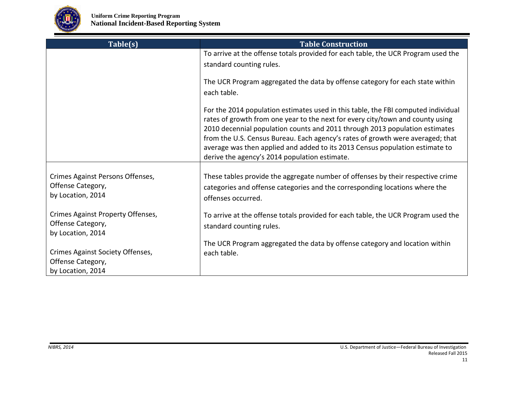

| Table(s)                                                                    | <b>Table Construction</b>                                                                                                                                                                                                                                                                                                                                                                                                                                             |
|-----------------------------------------------------------------------------|-----------------------------------------------------------------------------------------------------------------------------------------------------------------------------------------------------------------------------------------------------------------------------------------------------------------------------------------------------------------------------------------------------------------------------------------------------------------------|
|                                                                             | To arrive at the offense totals provided for each table, the UCR Program used the<br>standard counting rules.                                                                                                                                                                                                                                                                                                                                                         |
|                                                                             | The UCR Program aggregated the data by offense category for each state within<br>each table.                                                                                                                                                                                                                                                                                                                                                                          |
|                                                                             | For the 2014 population estimates used in this table, the FBI computed individual<br>rates of growth from one year to the next for every city/town and county using<br>2010 decennial population counts and 2011 through 2013 population estimates<br>from the U.S. Census Bureau. Each agency's rates of growth were averaged; that<br>average was then applied and added to its 2013 Census population estimate to<br>derive the agency's 2014 population estimate. |
| Crimes Against Persons Offenses,<br>Offense Category,<br>by Location, 2014  | These tables provide the aggregate number of offenses by their respective crime<br>categories and offense categories and the corresponding locations where the<br>offenses occurred.                                                                                                                                                                                                                                                                                  |
| Crimes Against Property Offenses,<br>Offense Category,<br>by Location, 2014 | To arrive at the offense totals provided for each table, the UCR Program used the<br>standard counting rules.                                                                                                                                                                                                                                                                                                                                                         |
| Crimes Against Society Offenses,<br>Offense Category,<br>by Location, 2014  | The UCR Program aggregated the data by offense category and location within<br>each table.                                                                                                                                                                                                                                                                                                                                                                            |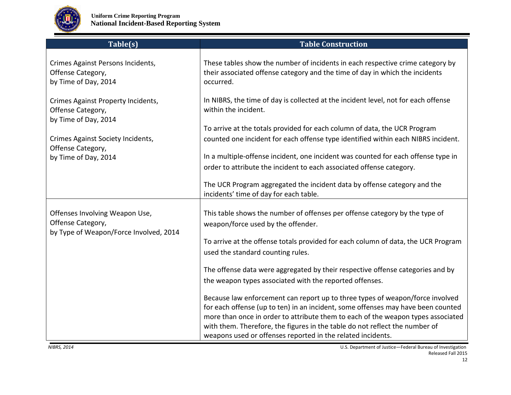

| Table(s)                                                                                      | <b>Table Construction</b>                                                                                                                                                   |
|-----------------------------------------------------------------------------------------------|-----------------------------------------------------------------------------------------------------------------------------------------------------------------------------|
| Crimes Against Persons Incidents,<br>Offense Category,<br>by Time of Day, 2014                | These tables show the number of incidents in each respective crime category by<br>their associated offense category and the time of day in which the incidents<br>occurred. |
| Crimes Against Property Incidents,<br>Offense Category,<br>by Time of Day, 2014               | In NIBRS, the time of day is collected at the incident level, not for each offense<br>within the incident.                                                                  |
|                                                                                               | To arrive at the totals provided for each column of data, the UCR Program                                                                                                   |
| Crimes Against Society Incidents,<br>Offense Category,                                        | counted one incident for each offense type identified within each NIBRS incident.                                                                                           |
| by Time of Day, 2014                                                                          | In a multiple-offense incident, one incident was counted for each offense type in                                                                                           |
|                                                                                               | order to attribute the incident to each associated offense category.                                                                                                        |
|                                                                                               | The UCR Program aggregated the incident data by offense category and the<br>incidents' time of day for each table.                                                          |
| Offenses Involving Weapon Use,<br>Offense Category,<br>by Type of Weapon/Force Involved, 2014 | This table shows the number of offenses per offense category by the type of<br>weapon/force used by the offender.                                                           |
|                                                                                               | To arrive at the offense totals provided for each column of data, the UCR Program<br>used the standard counting rules.                                                      |
|                                                                                               | The offense data were aggregated by their respective offense categories and by                                                                                              |
|                                                                                               | the weapon types associated with the reported offenses.                                                                                                                     |
|                                                                                               | Because law enforcement can report up to three types of weapon/force involved                                                                                               |
|                                                                                               | for each offense (up to ten) in an incident, some offenses may have been counted                                                                                            |
|                                                                                               | more than once in order to attribute them to each of the weapon types associated<br>with them. Therefore, the figures in the table do not reflect the number of             |
|                                                                                               | weapons used or offenses reported in the related incidents.                                                                                                                 |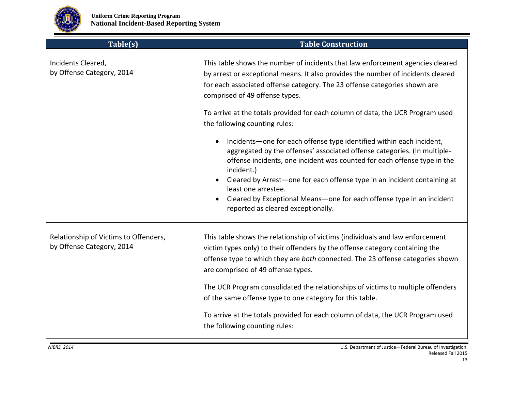

| Table(s)                                                           | <b>Table Construction</b>                                                                                                                                                                                                                                                                                                                                                                                                                                                                                                                                                                                                                                                                                                                   |
|--------------------------------------------------------------------|---------------------------------------------------------------------------------------------------------------------------------------------------------------------------------------------------------------------------------------------------------------------------------------------------------------------------------------------------------------------------------------------------------------------------------------------------------------------------------------------------------------------------------------------------------------------------------------------------------------------------------------------------------------------------------------------------------------------------------------------|
| Incidents Cleared,<br>by Offense Category, 2014                    | This table shows the number of incidents that law enforcement agencies cleared<br>by arrest or exceptional means. It also provides the number of incidents cleared<br>for each associated offense category. The 23 offense categories shown are<br>comprised of 49 offense types.<br>To arrive at the totals provided for each column of data, the UCR Program used<br>the following counting rules:<br>Incidents-one for each offense type identified within each incident,<br>$\bullet$<br>aggregated by the offenses' associated offense categories. (In multiple-<br>offense incidents, one incident was counted for each offense type in the<br>incident.)<br>Cleared by Arrest-one for each offense type in an incident containing at |
|                                                                    | least one arrestee.<br>Cleared by Exceptional Means-one for each offense type in an incident<br>reported as cleared exceptionally.                                                                                                                                                                                                                                                                                                                                                                                                                                                                                                                                                                                                          |
| Relationship of Victims to Offenders,<br>by Offense Category, 2014 | This table shows the relationship of victims (individuals and law enforcement<br>victim types only) to their offenders by the offense category containing the<br>offense type to which they are both connected. The 23 offense categories shown<br>are comprised of 49 offense types.<br>The UCR Program consolidated the relationships of victims to multiple offenders                                                                                                                                                                                                                                                                                                                                                                    |
|                                                                    | of the same offense type to one category for this table.<br>To arrive at the totals provided for each column of data, the UCR Program used<br>the following counting rules:                                                                                                                                                                                                                                                                                                                                                                                                                                                                                                                                                                 |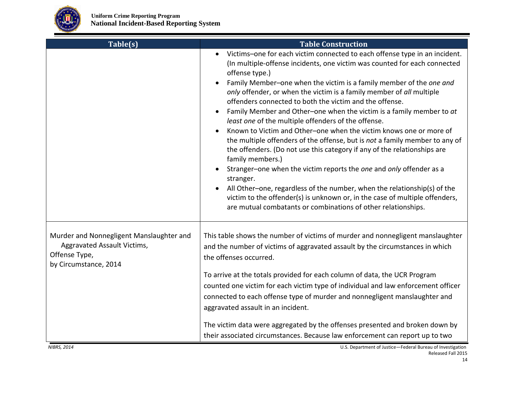

| Table(s)                                                                                                          | <b>Table Construction</b>                                                                                                                                                                                                                                                                                                                                                                                                                                                                                                                                                                                                                                                                                                                                                                                                                                                                                                                                                                                                                                                               |
|-------------------------------------------------------------------------------------------------------------------|-----------------------------------------------------------------------------------------------------------------------------------------------------------------------------------------------------------------------------------------------------------------------------------------------------------------------------------------------------------------------------------------------------------------------------------------------------------------------------------------------------------------------------------------------------------------------------------------------------------------------------------------------------------------------------------------------------------------------------------------------------------------------------------------------------------------------------------------------------------------------------------------------------------------------------------------------------------------------------------------------------------------------------------------------------------------------------------------|
|                                                                                                                   | Victims-one for each victim connected to each offense type in an incident.<br>(In multiple-offense incidents, one victim was counted for each connected<br>offense type.)<br>Family Member-one when the victim is a family member of the one and<br>only offender, or when the victim is a family member of all multiple<br>offenders connected to both the victim and the offense.<br>Family Member and Other-one when the victim is a family member to at<br>least one of the multiple offenders of the offense.<br>Known to Victim and Other-one when the victim knows one or more of<br>the multiple offenders of the offense, but is not a family member to any of<br>the offenders. (Do not use this category if any of the relationships are<br>family members.)<br>Stranger-one when the victim reports the one and only offender as a<br>stranger.<br>All Other-one, regardless of the number, when the relationship(s) of the<br>victim to the offender(s) is unknown or, in the case of multiple offenders,<br>are mutual combatants or combinations of other relationships. |
| Murder and Nonnegligent Manslaughter and<br>Aggravated Assault Victims,<br>Offense Type,<br>by Circumstance, 2014 | This table shows the number of victims of murder and nonnegligent manslaughter<br>and the number of victims of aggravated assault by the circumstances in which<br>the offenses occurred.<br>To arrive at the totals provided for each column of data, the UCR Program<br>counted one victim for each victim type of individual and law enforcement officer<br>connected to each offense type of murder and nonnegligent manslaughter and<br>aggravated assault in an incident.<br>The victim data were aggregated by the offenses presented and broken down by<br>their associated circumstances. Because law enforcement can report up to two                                                                                                                                                                                                                                                                                                                                                                                                                                         |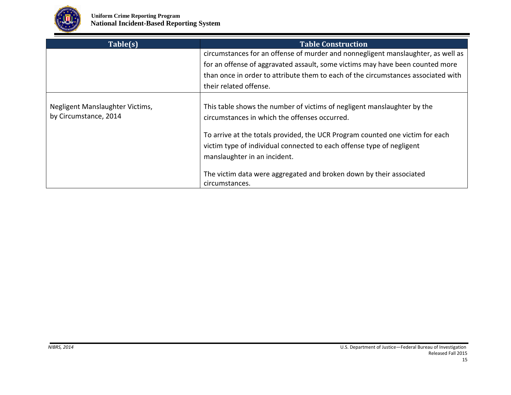

| Table(s)                                                 | <b>Table Construction</b>                                                                                                                                                                                                                                                                                          |
|----------------------------------------------------------|--------------------------------------------------------------------------------------------------------------------------------------------------------------------------------------------------------------------------------------------------------------------------------------------------------------------|
|                                                          | circumstances for an offense of murder and nonnegligent manslaughter, as well as                                                                                                                                                                                                                                   |
|                                                          | for an offense of aggravated assault, some victims may have been counted more                                                                                                                                                                                                                                      |
|                                                          | than once in order to attribute them to each of the circumstances associated with                                                                                                                                                                                                                                  |
|                                                          | their related offense.                                                                                                                                                                                                                                                                                             |
| Negligent Manslaughter Victims,<br>by Circumstance, 2014 | This table shows the number of victims of negligent manslaughter by the<br>circumstances in which the offenses occurred.<br>To arrive at the totals provided, the UCR Program counted one victim for each<br>victim type of individual connected to each offense type of negligent<br>manslaughter in an incident. |
|                                                          | The victim data were aggregated and broken down by their associated<br>circumstances.                                                                                                                                                                                                                              |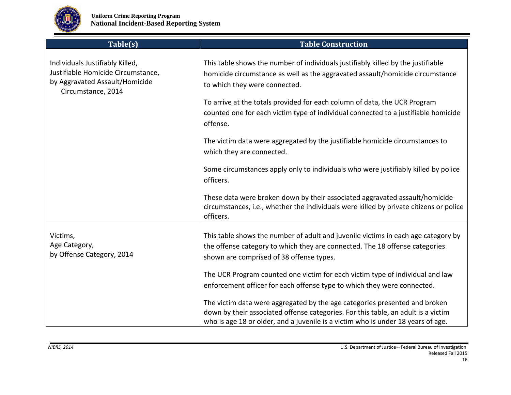

| Table(s)                                                                                                                      | <b>Table Construction</b>                                                                                                                                                                                                                                                       |
|-------------------------------------------------------------------------------------------------------------------------------|---------------------------------------------------------------------------------------------------------------------------------------------------------------------------------------------------------------------------------------------------------------------------------|
| Individuals Justifiably Killed,<br>Justifiable Homicide Circumstance,<br>by Aggravated Assault/Homicide<br>Circumstance, 2014 | This table shows the number of individuals justifiably killed by the justifiable<br>homicide circumstance as well as the aggravated assault/homicide circumstance<br>to which they were connected.<br>To arrive at the totals provided for each column of data, the UCR Program |
|                                                                                                                               | counted one for each victim type of individual connected to a justifiable homicide<br>offense.                                                                                                                                                                                  |
|                                                                                                                               | The victim data were aggregated by the justifiable homicide circumstances to<br>which they are connected.                                                                                                                                                                       |
|                                                                                                                               | Some circumstances apply only to individuals who were justifiably killed by police<br>officers.                                                                                                                                                                                 |
|                                                                                                                               | These data were broken down by their associated aggravated assault/homicide<br>circumstances, i.e., whether the individuals were killed by private citizens or police<br>officers.                                                                                              |
| Victims,<br>Age Category,<br>by Offense Category, 2014                                                                        | This table shows the number of adult and juvenile victims in each age category by<br>the offense category to which they are connected. The 18 offense categories<br>shown are comprised of 38 offense types.                                                                    |
|                                                                                                                               | The UCR Program counted one victim for each victim type of individual and law<br>enforcement officer for each offense type to which they were connected.                                                                                                                        |
|                                                                                                                               | The victim data were aggregated by the age categories presented and broken<br>down by their associated offense categories. For this table, an adult is a victim<br>who is age 18 or older, and a juvenile is a victim who is under 18 years of age.                             |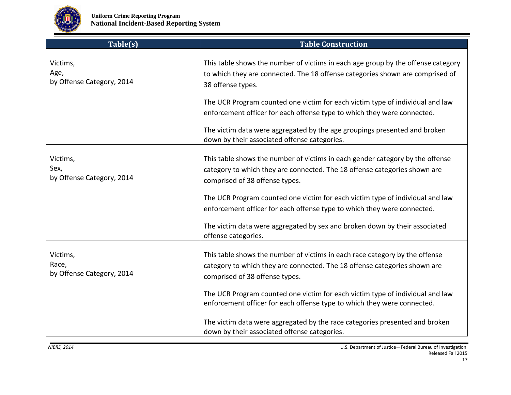

| Table(s)                                       | <b>Table Construction</b>                                                                                                                                                                                                                                                                                                                                                                                                                                                             |
|------------------------------------------------|---------------------------------------------------------------------------------------------------------------------------------------------------------------------------------------------------------------------------------------------------------------------------------------------------------------------------------------------------------------------------------------------------------------------------------------------------------------------------------------|
| Victims,<br>Age,<br>by Offense Category, 2014  | This table shows the number of victims in each age group by the offense category<br>to which they are connected. The 18 offense categories shown are comprised of<br>38 offense types.<br>The UCR Program counted one victim for each victim type of individual and law<br>enforcement officer for each offense type to which they were connected.<br>The victim data were aggregated by the age groupings presented and broken<br>down by their associated offense categories.       |
| Victims,<br>Sex,<br>by Offense Category, 2014  | This table shows the number of victims in each gender category by the offense<br>category to which they are connected. The 18 offense categories shown are<br>comprised of 38 offense types.<br>The UCR Program counted one victim for each victim type of individual and law<br>enforcement officer for each offense type to which they were connected.<br>The victim data were aggregated by sex and broken down by their associated<br>offense categories.                         |
| Victims,<br>Race,<br>by Offense Category, 2014 | This table shows the number of victims in each race category by the offense<br>category to which they are connected. The 18 offense categories shown are<br>comprised of 38 offense types.<br>The UCR Program counted one victim for each victim type of individual and law<br>enforcement officer for each offense type to which they were connected.<br>The victim data were aggregated by the race categories presented and broken<br>down by their associated offense categories. |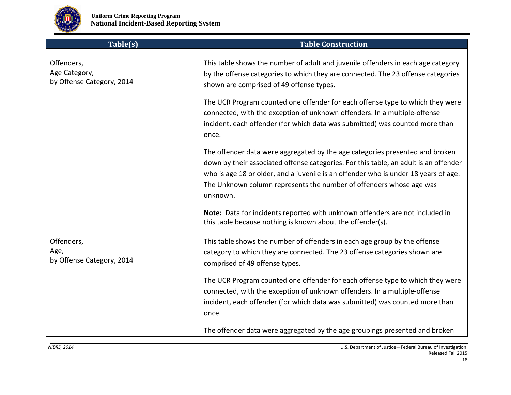

| Table(s)                                                 | <b>Table Construction</b>                                                                                                                                                                                                                                                                                                                      |
|----------------------------------------------------------|------------------------------------------------------------------------------------------------------------------------------------------------------------------------------------------------------------------------------------------------------------------------------------------------------------------------------------------------|
| Offenders,<br>Age Category,<br>by Offense Category, 2014 | This table shows the number of adult and juvenile offenders in each age category<br>by the offense categories to which they are connected. The 23 offense categories<br>shown are comprised of 49 offense types.                                                                                                                               |
|                                                          | The UCR Program counted one offender for each offense type to which they were<br>connected, with the exception of unknown offenders. In a multiple-offense<br>incident, each offender (for which data was submitted) was counted more than<br>once.                                                                                            |
|                                                          | The offender data were aggregated by the age categories presented and broken<br>down by their associated offense categories. For this table, an adult is an offender<br>who is age 18 or older, and a juvenile is an offender who is under 18 years of age.<br>The Unknown column represents the number of offenders whose age was<br>unknown. |
|                                                          | Note: Data for incidents reported with unknown offenders are not included in<br>this table because nothing is known about the offender(s).                                                                                                                                                                                                     |
| Offenders,<br>Age,<br>by Offense Category, 2014          | This table shows the number of offenders in each age group by the offense<br>category to which they are connected. The 23 offense categories shown are<br>comprised of 49 offense types.                                                                                                                                                       |
|                                                          | The UCR Program counted one offender for each offense type to which they were<br>connected, with the exception of unknown offenders. In a multiple-offense<br>incident, each offender (for which data was submitted) was counted more than<br>once.                                                                                            |
|                                                          | The offender data were aggregated by the age groupings presented and broken                                                                                                                                                                                                                                                                    |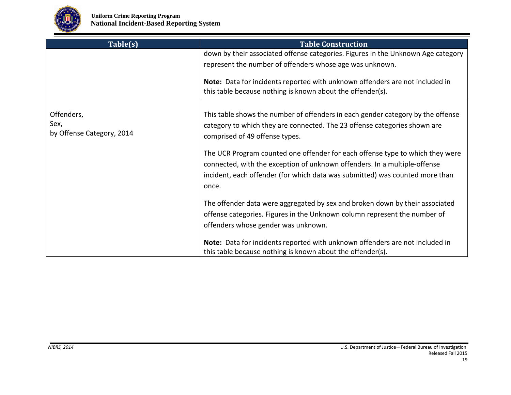

| Table(s)                                        | <b>Table Construction</b>                                                                                                                                                                                                                           |
|-------------------------------------------------|-----------------------------------------------------------------------------------------------------------------------------------------------------------------------------------------------------------------------------------------------------|
|                                                 | down by their associated offense categories. Figures in the Unknown Age category                                                                                                                                                                    |
|                                                 | represent the number of offenders whose age was unknown.                                                                                                                                                                                            |
|                                                 | Note: Data for incidents reported with unknown offenders are not included in<br>this table because nothing is known about the offender(s).                                                                                                          |
| Offenders,<br>Sex,<br>by Offense Category, 2014 | This table shows the number of offenders in each gender category by the offense<br>category to which they are connected. The 23 offense categories shown are<br>comprised of 49 offense types.                                                      |
|                                                 | The UCR Program counted one offender for each offense type to which they were<br>connected, with the exception of unknown offenders. In a multiple-offense<br>incident, each offender (for which data was submitted) was counted more than<br>once. |
|                                                 | The offender data were aggregated by sex and broken down by their associated<br>offense categories. Figures in the Unknown column represent the number of<br>offenders whose gender was unknown.                                                    |
|                                                 | Note: Data for incidents reported with unknown offenders are not included in<br>this table because nothing is known about the offender(s).                                                                                                          |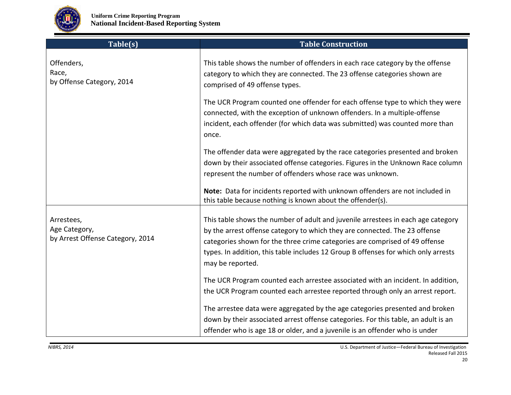

| Table(s)                                                        | <b>Table Construction</b>                                                                                                                                                                                                                                                                                                                               |
|-----------------------------------------------------------------|---------------------------------------------------------------------------------------------------------------------------------------------------------------------------------------------------------------------------------------------------------------------------------------------------------------------------------------------------------|
| Offenders,<br>Race,<br>by Offense Category, 2014                | This table shows the number of offenders in each race category by the offense<br>category to which they are connected. The 23 offense categories shown are<br>comprised of 49 offense types.                                                                                                                                                            |
|                                                                 | The UCR Program counted one offender for each offense type to which they were<br>connected, with the exception of unknown offenders. In a multiple-offense<br>incident, each offender (for which data was submitted) was counted more than<br>once.                                                                                                     |
|                                                                 | The offender data were aggregated by the race categories presented and broken<br>down by their associated offense categories. Figures in the Unknown Race column<br>represent the number of offenders whose race was unknown.                                                                                                                           |
|                                                                 | Note: Data for incidents reported with unknown offenders are not included in<br>this table because nothing is known about the offender(s).                                                                                                                                                                                                              |
| Arrestees,<br>Age Category,<br>by Arrest Offense Category, 2014 | This table shows the number of adult and juvenile arrestees in each age category<br>by the arrest offense category to which they are connected. The 23 offense<br>categories shown for the three crime categories are comprised of 49 offense<br>types. In addition, this table includes 12 Group B offenses for which only arrests<br>may be reported. |
|                                                                 | The UCR Program counted each arrestee associated with an incident. In addition,<br>the UCR Program counted each arrestee reported through only an arrest report.                                                                                                                                                                                        |
|                                                                 | The arrestee data were aggregated by the age categories presented and broken<br>down by their associated arrest offense categories. For this table, an adult is an<br>offender who is age 18 or older, and a juvenile is an offender who is under                                                                                                       |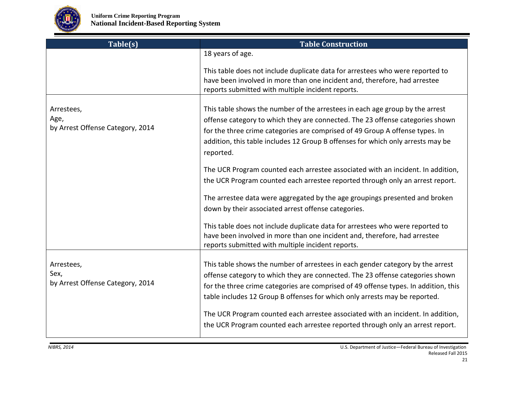

| Table(s)                                               | <b>Table Construction</b>                                                                                                                                                                                                                                                                                                                                                                                               |
|--------------------------------------------------------|-------------------------------------------------------------------------------------------------------------------------------------------------------------------------------------------------------------------------------------------------------------------------------------------------------------------------------------------------------------------------------------------------------------------------|
|                                                        | 18 years of age.                                                                                                                                                                                                                                                                                                                                                                                                        |
|                                                        | This table does not include duplicate data for arrestees who were reported to<br>have been involved in more than one incident and, therefore, had arrestee<br>reports submitted with multiple incident reports.                                                                                                                                                                                                         |
| Arrestees,<br>Age,<br>by Arrest Offense Category, 2014 | This table shows the number of the arrestees in each age group by the arrest<br>offense category to which they are connected. The 23 offense categories shown<br>for the three crime categories are comprised of 49 Group A offense types. In<br>addition, this table includes 12 Group B offenses for which only arrests may be<br>reported.                                                                           |
|                                                        | The UCR Program counted each arrestee associated with an incident. In addition,<br>the UCR Program counted each arrestee reported through only an arrest report.                                                                                                                                                                                                                                                        |
|                                                        | The arrestee data were aggregated by the age groupings presented and broken<br>down by their associated arrest offense categories.                                                                                                                                                                                                                                                                                      |
|                                                        | This table does not include duplicate data for arrestees who were reported to<br>have been involved in more than one incident and, therefore, had arrestee<br>reports submitted with multiple incident reports.                                                                                                                                                                                                         |
| Arrestees,<br>Sex,<br>by Arrest Offense Category, 2014 | This table shows the number of arrestees in each gender category by the arrest<br>offense category to which they are connected. The 23 offense categories shown<br>for the three crime categories are comprised of 49 offense types. In addition, this<br>table includes 12 Group B offenses for which only arrests may be reported.<br>The UCR Program counted each arrestee associated with an incident. In addition, |
|                                                        | the UCR Program counted each arrestee reported through only an arrest report.                                                                                                                                                                                                                                                                                                                                           |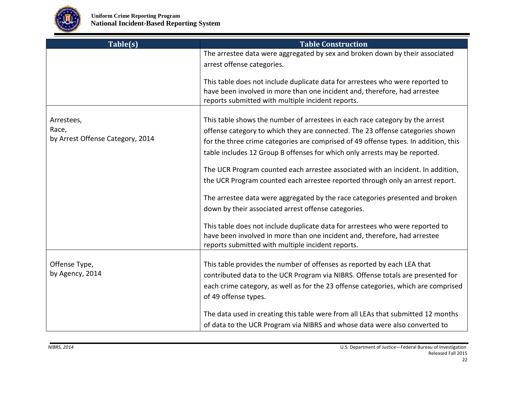

| Table(s)                                  | <b>Table Construction</b>                                                                                                                                                                                       |
|-------------------------------------------|-----------------------------------------------------------------------------------------------------------------------------------------------------------------------------------------------------------------|
|                                           | The arrestee data were aggregated by sex and broken down by their associated                                                                                                                                    |
|                                           | arrest offense categories.                                                                                                                                                                                      |
|                                           | This table does not include duplicate data for arrestees who were reported to<br>have been involved in more than one incident and, therefore, had arrestee<br>reports submitted with multiple incident reports. |
| Arrestees,                                | This table shows the number of arrestees in each race category by the arrest                                                                                                                                    |
| Race,<br>by Arrest Offense Category, 2014 | offense category to which they are connected. The 23 offense categories shown                                                                                                                                   |
|                                           | for the three crime categories are comprised of 49 offense types. In addition, this                                                                                                                             |
|                                           | table includes 12 Group B offenses for which only arrests may be reported.                                                                                                                                      |
|                                           | The UCR Program counted each arrestee associated with an incident. In addition,                                                                                                                                 |
|                                           | the UCR Program counted each arrestee reported through only an arrest report.                                                                                                                                   |
|                                           | The arrestee data were aggregated by the race categories presented and broken                                                                                                                                   |
|                                           | down by their associated arrest offense categories.                                                                                                                                                             |
|                                           | This table does not include duplicate data for arrestees who were reported to                                                                                                                                   |
|                                           | have been involved in more than one incident and, therefore, had arrestee<br>reports submitted with multiple incident reports.                                                                                  |
| Offense Type,                             | This table provides the number of offenses as reported by each LEA that                                                                                                                                         |
| by Agency, 2014                           | contributed data to the UCR Program via NIBRS. Offense totals are presented for                                                                                                                                 |
|                                           | each crime category, as well as for the 23 offense categories, which are comprised                                                                                                                              |
|                                           | of 49 offense types.                                                                                                                                                                                            |
|                                           | The data used in creating this table were from all LEAs that submitted 12 months                                                                                                                                |
|                                           | of data to the UCR Program via NIBRS and whose data were also converted to                                                                                                                                      |